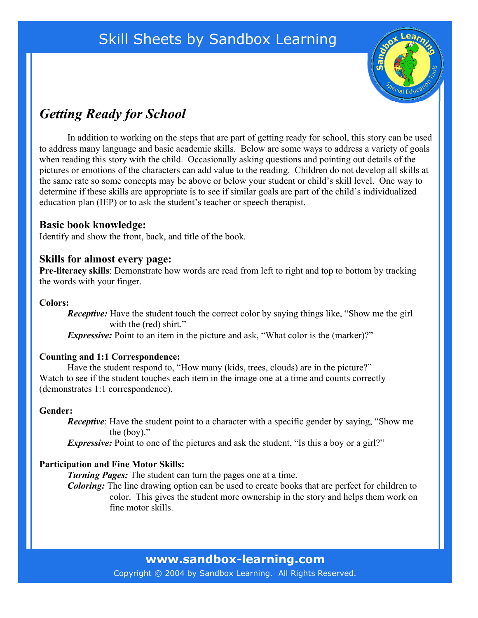## Skill Sheets by Sandbox Learning



## *Getting Ready for School*

In addition to working on the steps that are part of getting ready for school, this story can be used to address many language and basic academic skills. Below are some ways to address a variety of goals when reading this story with the child. Occasionally asking questions and pointing out details of the pictures or emotions of the characters can add value to the reading. Children do not develop all skills at the same rate so some concepts may be above or below your student or child's skill level. One way to determine if these skills are appropriate is to see if similar goals are part of the child's individualized education plan (IEP) or to ask the student's teacher or speech therapist.

#### **Basic book knowledge:**

Identify and show the front, back, and title of the book*.*

#### **Skills for almost every page:**

**Pre-literacy skills**: Demonstrate how words are read from left to right and top to bottom by tracking the words with your finger.

#### **Colors:**

*Receptive:* Have the student touch the correct color by saying things like, "Show me the girl" with the (red) shirt."

*Expressive:* Point to an item in the picture and ask, "What color is the (marker)?"

#### **Counting and 1:1 Correspondence:**

Have the student respond to, "How many (kids, trees, clouds) are in the picture?" Watch to see if the student touches each item in the image one at a time and counts correctly (demonstrates 1:1 correspondence).

#### **Gender:**

*Receptive*: Have the student point to a character with a specific gender by saying, "Show me the (boy)."

*Expressive:* Point to one of the pictures and ask the student, "Is this a boy or a girl?"

#### **Participation and Fine Motor Skills:**

*Turning Pages:* The student can turn the pages one at a time.

*Coloring:* The line drawing option can be used to create books that are perfect for children to color. This gives the student more ownership in the story and helps them work on fine motor skills.

**www.sandbox-learning.com**

Copyright © 2004 by Sandbox Learning. All Rights Reserved.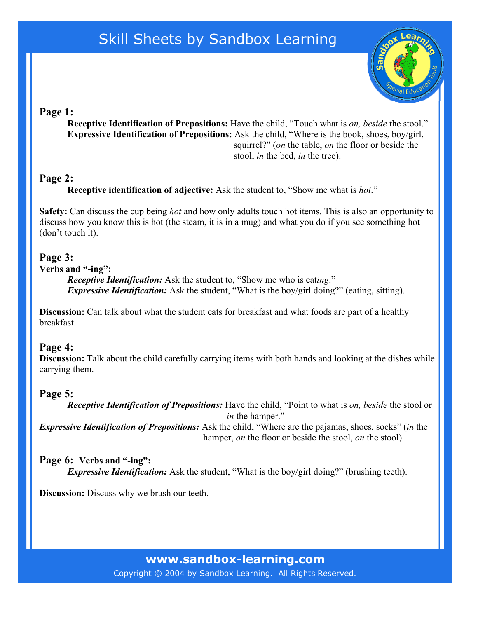## Skill Sheets by Sandbox Learning



### **Page 1:**

**Receptive Identification of Prepositions:** Have the child, "Touch what is *on, beside* the stool." **Expressive Identification of Prepositions:** Ask the child, "Where is the book, shoes, boy/girl, squirrel?" (*on* the table, *on* the floor or beside the stool, *in* the bed, *in* the tree).

### **Page 2:**

**Receptive identification of adjective:** Ask the student to, "Show me what is *hot*."

**Safety:** Can discuss the cup being *hot* and how only adults touch hot items. This is also an opportunity to discuss how you know this is hot (the steam, it is in a mug) and what you do if you see something hot (don't touch it).

## **Page 3:**

#### **Verbs and "-ing":**

*Receptive Identification:* Ask the student to, "Show me who is eat*ing*." *Expressive Identification:* Ask the student, "What is the boy/girl doing?" (eating, sitting).

**Discussion:** Can talk about what the student eats for breakfast and what foods are part of a healthy breakfast.

## **Page 4:**

**Discussion:** Talk about the child carefully carrying items with both hands and looking at the dishes while carrying them.

## **Page 5:**

*Receptive Identification of Prepositions:* Have the child, "Point to what is *on, beside* the stool or *in* the hamper." *Expressive Identification of Prepositions:* Ask the child, "Where are the pajamas, shoes, socks" (*in* the hamper, *on* the floor or beside the stool, *on* the stool).

**Page 6: Verbs and "-ing":** *Expressive Identification:* Ask the student, "What is the boy/girl doing?" (brushing teeth).

**Discussion:** Discuss why we brush our teeth.

**www.sandbox-learning.com**

Copyright © 2004 by Sandbox Learning. All Rights Reserved.